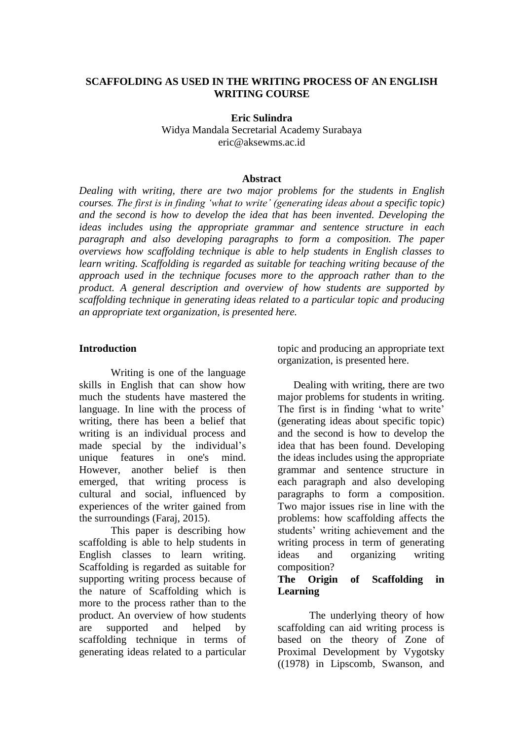### **SCAFFOLDING AS USED IN THE WRITING PROCESS OF AN ENGLISH WRITING COURSE**

**Eric Sulindra**  Widya Mandala Secretarial Academy Surabaya [eric@aksewms.ac.id](mailto:eric@aksewms.ac.id)

### **Abstract**

*Dealing with writing, there are two major problems for the students in English courses. The first is in finding 'what to write' (generating ideas about a specific topic) and the second is how to develop the idea that has been invented. Developing the ideas includes using the appropriate grammar and sentence structure in each paragraph and also developing paragraphs to form a composition. The paper overviews how scaffolding technique is able to help students in English classes to learn writing. Scaffolding is regarded as suitable for teaching writing because of the approach used in the technique focuses more to the approach rather than to the product. A general description and overview of how students are supported by scaffolding technique in generating ideas related to a particular topic and producing an appropriate text organization, is presented here.*

### **Introduction**

Writing is one of the language skills in English that can show how much the students have mastered the language. In line with the process of writing, there has been a belief that writing is an individual process and made special by the individual's unique features in one's mind. However, another belief is then emerged, that writing process is cultural and social, influenced by experiences of the writer gained from the surroundings (Faraj, 2015).

This paper is describing how scaffolding is able to help students in English classes to learn writing. Scaffolding is regarded as suitable for supporting writing process because of the nature of Scaffolding which is more to the process rather than to the product. An overview of how students are supported and helped by scaffolding technique in terms of generating ideas related to a particular

topic and producing an appropriate text organization, is presented here.

Dealing with writing, there are two major problems for students in writing. The first is in finding 'what to write' (generating ideas about specific topic) and the second is how to develop the idea that has been found. Developing the ideas includes using the appropriate grammar and sentence structure in each paragraph and also developing paragraphs to form a composition. Two major issues rise in line with the problems: how scaffolding affects the students' writing achievement and the writing process in term of generating ideas and organizing writing composition?

### **The Origin of Scaffolding in Learning**

The underlying theory of how scaffolding can aid writing process is based on the theory of Zone of Proximal Development by Vygotsky ((1978) in Lipscomb, Swanson, and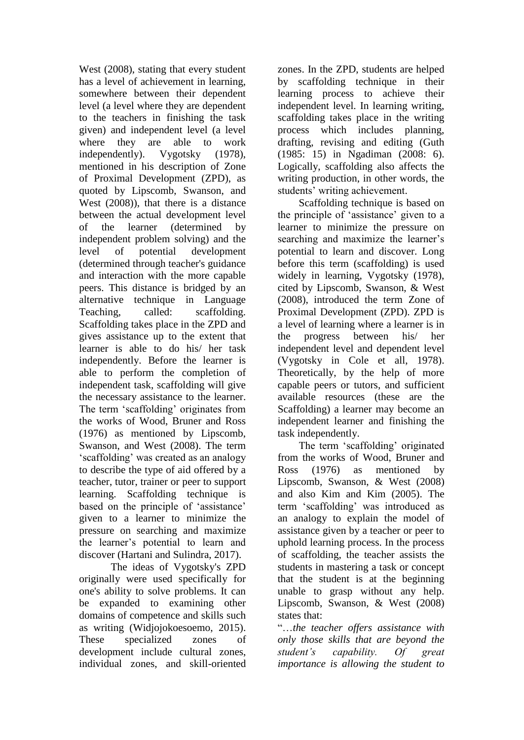West (2008), stating that every student has a level of achievement in learning, somewhere between their dependent level (a level where they are dependent to the teachers in finishing the task given) and independent level (a level where they are able to work independently). Vygotsky (1978), mentioned in his description of Zone of Proximal Development (ZPD), as quoted by Lipscomb, Swanson, and West (2008)), that there is a distance between the actual development level of the learner (determined by independent problem solving) and the level of potential development (determined through teacher's guidance and interaction with the more capable peers. This distance is bridged by an alternative technique in Language Teaching, called: scaffolding. Scaffolding takes place in the ZPD and gives assistance up to the extent that learner is able to do his/ her task independently. Before the learner is able to perform the completion of independent task, scaffolding will give the necessary assistance to the learner. The term 'scaffolding' originates from the works of Wood, Bruner and Ross (1976) as mentioned by Lipscomb, Swanson, and West (2008). The term 'scaffolding' was created as an analogy to describe the type of aid offered by a teacher, tutor, trainer or peer to support learning. Scaffolding technique is based on the principle of 'assistance' given to a learner to minimize the pressure on searching and maximize the learner's potential to learn and discover (Hartani and Sulindra, 2017).

The ideas of Vygotsky's ZPD originally were used specifically for one's ability to solve problems. It can be expanded to examining other domains of competence and skills such as writing (Widjojokoesoemo, 2015). These specialized zones of development include cultural zones, individual zones, and skill-oriented

zones. In the ZPD, students are helped by scaffolding technique in their learning process to achieve their independent level. In learning writing, scaffolding takes place in the writing process which includes planning, drafting, revising and editing (Guth (1985: 15) in Ngadiman (2008: 6). Logically, scaffolding also affects the writing production, in other words, the students' writing achievement.

Scaffolding technique is based on the principle of 'assistance' given to a learner to minimize the pressure on searching and maximize the learner's potential to learn and discover. Long before this term (scaffolding) is used widely in learning, Vygotsky (1978), cited by Lipscomb, Swanson, & West (2008), introduced the term Zone of Proximal Development (ZPD). ZPD is a level of learning where a learner is in the progress between his/ her independent level and dependent level (Vygotsky in Cole et all, 1978). Theoretically, by the help of more capable peers or tutors, and sufficient available resources (these are the Scaffolding) a learner may become an independent learner and finishing the task independently.

 The term 'scaffolding' originated from the works of Wood, Bruner and Ross (1976) as mentioned by Lipscomb, Swanson, & West (2008) and also Kim and Kim (2005). The term 'scaffolding' was introduced as an analogy to explain the model of assistance given by a teacher or peer to uphold learning process. In the process of scaffolding, the teacher assists the students in mastering a task or concept that the student is at the beginning unable to grasp without any help. Lipscomb, Swanson, & West (2008) states that:

"…*the teacher offers assistance with only those skills that are beyond the student's capability. Of great importance is allowing the student to*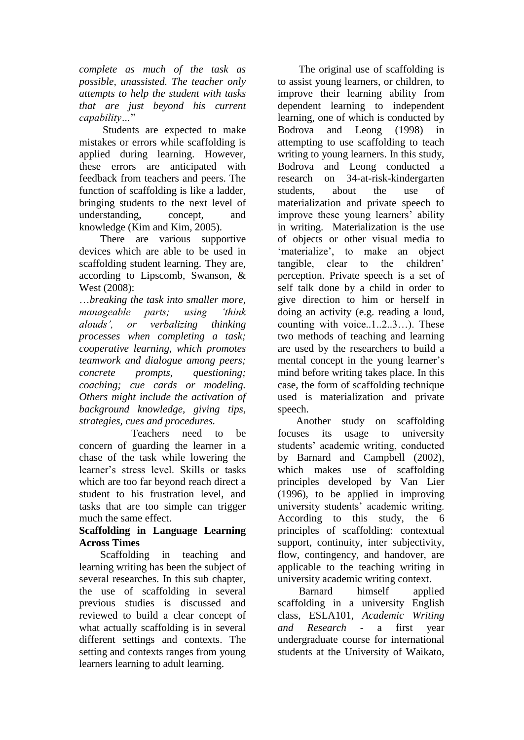*complete as much of the task as possible, unassisted. The teacher only attempts to help the student with tasks that are just beyond his current capability…*"

 Students are expected to make mistakes or errors while scaffolding is applied during learning. However, these errors are anticipated with feedback from teachers and peers. The function of scaffolding is like a ladder, bringing students to the next level of understanding, concept, and knowledge (Kim and Kim, 2005).

 There are various supportive devices which are able to be used in scaffolding student learning. They are, according to Lipscomb, Swanson, & West (2008):

…*breaking the task into smaller more, manageable parts; using 'think alouds', or verbalizing thinking processes when completing a task; cooperative learning, which promotes teamwork and dialogue among peers; concrete prompts, questioning; coaching; cue cards or modeling. Others might include the activation of background knowledge, giving tips, strategies, cues and procedures.*

 Teachers need to be concern of guarding the learner in a chase of the task while lowering the learner's stress level. Skills or tasks which are too far beyond reach direct a student to his frustration level, and tasks that are too simple can trigger much the same effect.

## **Scaffolding in Language Learning Across Times**

Scaffolding in teaching and learning writing has been the subject of several researches. In this sub chapter, the use of scaffolding in several previous studies is discussed and reviewed to build a clear concept of what actually scaffolding is in several different settings and contexts. The setting and contexts ranges from young learners learning to adult learning.

 The original use of scaffolding is to assist young learners, or children, to improve their learning ability from dependent learning to independent learning, one of which is conducted by Bodrova and Leong (1998) in attempting to use scaffolding to teach writing to young learners. In this study, Bodrova and Leong conducted a research on 34-at-risk-kindergarten students, about the use of materialization and private speech to improve these young learners' ability in writing. Materialization is the use of objects or other visual media to 'materialize', to make an object tangible, clear to the children' perception. Private speech is a set of self talk done by a child in order to give direction to him or herself in doing an activity (e.g. reading a loud, counting with voice..1..2..3…). These two methods of teaching and learning are used by the researchers to build a mental concept in the young learner's mind before writing takes place. In this case, the form of scaffolding technique used is materialization and private speech.

 Another study on scaffolding focuses its usage to university students' academic writing, conducted by Barnard and Campbell (2002), which makes use of scaffolding principles developed by Van Lier (1996), to be applied in improving university students' academic writing. According to this study, the 6 principles of scaffolding: contextual support, continuity, inter subjectivity, flow, contingency, and handover, are applicable to the teaching writing in university academic writing context.

 Barnard himself applied scaffolding in a university English class, ESLA101, *Academic Writing and Research -* a first year undergraduate course for international students at the University of Waikato,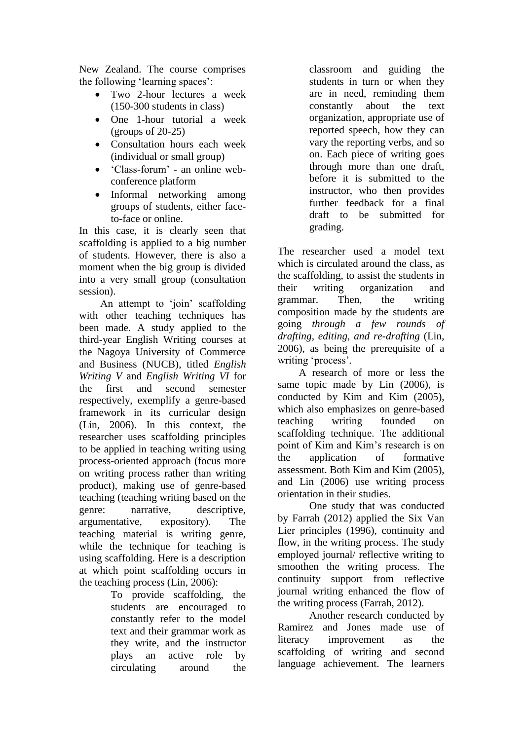New Zealand. The course comprises the following 'learning spaces':

- Two 2-hour lectures a week (150-300 students in class)
- One 1-hour tutorial a week  $(groups of 20-25)$
- Consultation hours each week (individual or small group)
- 'Class-forum' an online webconference platform
- Informal networking among groups of students, either faceto-face or online.

In this case, it is clearly seen that scaffolding is applied to a big number of students. However, there is also a moment when the big group is divided into a very small group (consultation session).

 An attempt to 'join' scaffolding with other teaching techniques has been made. A study applied to the third-year English Writing courses at the Nagoya University of Commerce and Business (NUCB), titled *English Writing V* and *English Writing VI* for the first and second semester respectively, exemplify a genre-based framework in its curricular design (Lin, 2006). In this context, the researcher uses scaffolding principles to be applied in teaching writing using process-oriented approach (focus more on writing process rather than writing product), making use of genre-based teaching (teaching writing based on the genre: narrative, descriptive, argumentative, expository). The teaching material is writing genre, while the technique for teaching is using scaffolding. Here is a description at which point scaffolding occurs in the teaching process (Lin, 2006):

To provide scaffolding, the students are encouraged to constantly refer to the model text and their grammar work as they write, and the instructor plays an active role by circulating around the classroom and guiding the students in turn or when they are in need, reminding them constantly about the text organization, appropriate use of reported speech, how they can vary the reporting verbs, and so on. Each piece of writing goes through more than one draft, before it is submitted to the instructor, who then provides further feedback for a final draft to be submitted for grading.

The researcher used a model text which is circulated around the class, as the scaffolding, to assist the students in their writing organization and grammar. Then, the writing composition made by the students are going *through a few rounds of drafting, editing, and re-drafting* (Lin, 2006), as being the prerequisite of a writing 'process'*.*

 A research of more or less the same topic made by Lin (2006), is conducted by Kim and Kim (2005), which also emphasizes on genre-based teaching writing founded on scaffolding technique. The additional point of Kim and Kim's research is on the application of formative assessment. Both Kim and Kim (2005), and Lin (2006) use writing process orientation in their studies.

One study that was conducted by Farrah (2012) applied the Six Van Lier principles (1996), continuity and flow, in the writing process. The study employed journal/ reflective writing to smoothen the writing process. The continuity support from reflective journal writing enhanced the flow of the writing process (Farrah, 2012).

Another research conducted by Ramirez and Jones made use of literacy improvement as the scaffolding of writing and second language achievement. The learners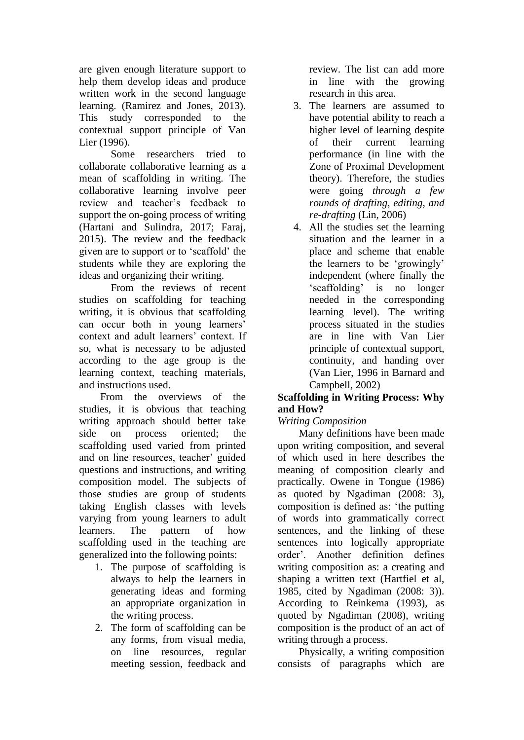are given enough literature support to help them develop ideas and produce written work in the second language learning. (Ramirez and Jones, 2013). This study corresponded to the contextual support principle of Van Lier (1996).

Some researchers tried to collaborate collaborative learning as a mean of scaffolding in writing. The collaborative learning involve peer review and teacher's feedback to support the on-going process of writing (Hartani and Sulindra, 2017; Faraj, 2015). The review and the feedback given are to support or to 'scaffold' the students while they are exploring the ideas and organizing their writing.

From the reviews of recent studies on scaffolding for teaching writing, it is obvious that scaffolding can occur both in young learners' context and adult learners' context. If so, what is necessary to be adjusted according to the age group is the learning context, teaching materials, and instructions used.

 From the overviews of the studies, it is obvious that teaching writing approach should better take side on process oriented; the scaffolding used varied from printed and on line resources, teacher' guided questions and instructions, and writing composition model. The subjects of those studies are group of students taking English classes with levels varying from young learners to adult learners. The pattern of how scaffolding used in the teaching are generalized into the following points:

- 1. The purpose of scaffolding is always to help the learners in generating ideas and forming an appropriate organization in the writing process.
- 2. The form of scaffolding can be any forms, from visual media, on line resources, regular meeting session, feedback and

review. The list can add more in line with the growing research in this area.

- 3. The learners are assumed to have potential ability to reach a higher level of learning despite of their current learning performance (in line with the Zone of Proximal Development theory). Therefore, the studies were going *through a few rounds of drafting, editing, and re-drafting* (Lin, 2006)
- 4. All the studies set the learning situation and the learner in a place and scheme that enable the learners to be 'growingly' independent (where finally the 'scaffolding' is no longer needed in the corresponding learning level). The writing process situated in the studies are in line with Van Lier principle of contextual support, continuity, and handing over (Van Lier, 1996 in Barnard and Campbell, 2002)

## **Scaffolding in Writing Process: Why and How?**

# *Writing Composition*

Many definitions have been made upon writing composition, and several of which used in here describes the meaning of composition clearly and practically. Owene in Tongue (1986) as quoted by Ngadiman (2008: 3), composition is defined as: 'the putting of words into grammatically correct sentences, and the linking of these sentences into logically appropriate order'. Another definition defines writing composition as: a creating and shaping a written text (Hartfiel et al, 1985, cited by Ngadiman (2008: 3)). According to Reinkema (1993), as quoted by Ngadiman (2008), writing composition is the product of an act of writing through a process.

 Physically, a writing composition consists of paragraphs which are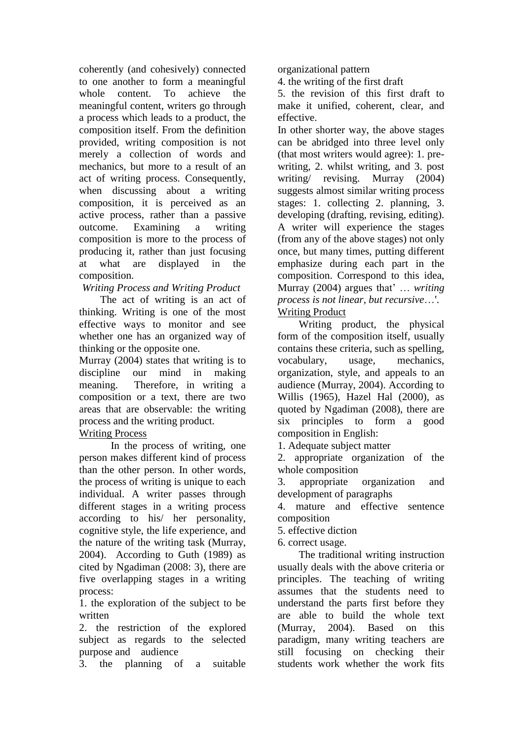coherently (and cohesively) connected to one another to form a meaningful whole content. To achieve the meaningful content, writers go through a process which leads to a product, the composition itself. From the definition provided, writing composition is not merely a collection of words and mechanics, but more to a result of an act of writing process. Consequently, when discussing about a writing composition, it is perceived as an active process, rather than a passive outcome. Examining a writing composition is more to the process of producing it, rather than just focusing at what are displayed in the composition.

*Writing Process and Writing Product*

The act of writing is an act of thinking. Writing is one of the most effective ways to monitor and see whether one has an organized way of thinking or the opposite one.

Murray (2004) states that writing is to discipline our mind in making meaning. Therefore, in writing a composition or a text, there are two areas that are observable: the writing process and the writing product.

## Writing Process

In the process of writing, one person makes different kind of process than the other person. In other words, the process of writing is unique to each individual. A writer passes through different stages in a writing process according to his/ her personality, cognitive style, the life experience, and the nature of the writing task (Murray, 2004). According to Guth (1989) as cited by Ngadiman (2008: 3), there are five overlapping stages in a writing process:

1. the exploration of the subject to be written

2. the restriction of the explored subject as regards to the selected purpose and audience

3. the planning of a suitable

organizational pattern

4. the writing of the first draft

5. the revision of this first draft to make it unified, coherent, clear, and effective.

In other shorter way, the above stages can be abridged into three level only (that most writers would agree): 1. prewriting, 2. whilst writing, and 3. post writing/ revising. Murray (2004) suggests almost similar writing process stages: 1. collecting 2. planning, 3. developing (drafting, revising, editing). A writer will experience the stages (from any of the above stages) not only once, but many times, putting different emphasize during each part in the composition. Correspond to this idea, Murray (2004) argues that' … *writing process is not linear, but recursive*…'. Writing Product

Writing product, the physical form of the composition itself, usually contains these criteria, such as spelling, vocabulary, usage, mechanics, organization, style, and appeals to an audience (Murray, 2004). According to Willis (1965), Hazel Hal (2000), as quoted by Ngadiman (2008), there are six principles to form a good composition in English:

1. Adequate subject matter

2. appropriate organization of the whole composition

3. appropriate organization and development of paragraphs

4. mature and effective sentence composition

5. effective diction

6. correct usage.

 The traditional writing instruction usually deals with the above criteria or principles. The teaching of writing assumes that the students need to understand the parts first before they are able to build the whole text (Murray, 2004). Based on this paradigm, many writing teachers are still focusing on checking their students work whether the work fits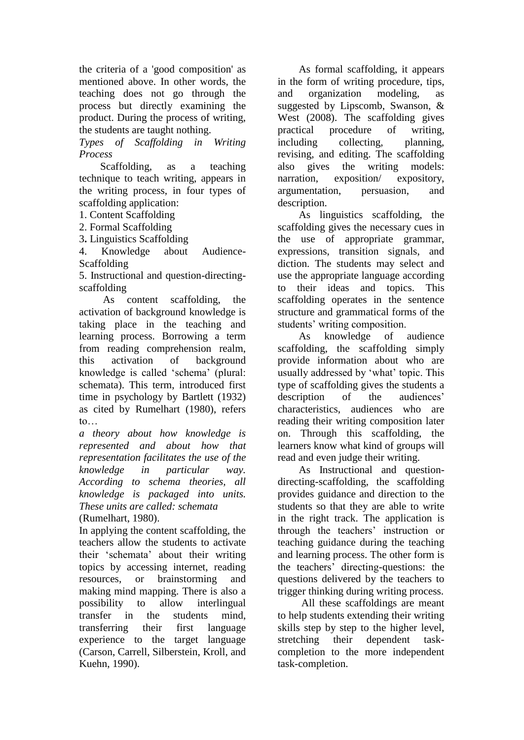the criteria of a 'good composition' as mentioned above. In other words, the teaching does not go through the process but directly examining the product. During the process of writing, the students are taught nothing.

*Types of Scaffolding in Writing Process*

Scaffolding, as a teaching technique to teach writing, appears in the writing process, in four types of scaffolding application:

1. Content Scaffolding

2. Formal Scaffolding

3**.** Linguistics Scaffolding

4. Knowledge about Audience-Scaffolding

5. Instructional and question-directingscaffolding

As content scaffolding, the activation of background knowledge is taking place in the teaching and learning process. Borrowing a term from reading comprehension realm, this activation of background knowledge is called 'schema' (plural: schemata). This term, introduced first time in psychology by Bartlett (1932) as cited by Rumelhart (1980), refers to…

*a theory about how knowledge is represented and about how that representation facilitates the use of the knowledge in particular way. According to schema theories, all knowledge is packaged into units. These units are called: schemata* (Rumelhart, 1980).

In applying the content scaffolding, the teachers allow the students to activate their 'schemata' about their writing topics by accessing internet, reading resources, or brainstorming and making mind mapping. There is also a possibility to allow interlingual transfer in the students mind, transferring their first language experience to the target language (Carson, Carrell, Silberstein, Kroll, and Kuehn, 1990).

 As formal scaffolding, it appears in the form of writing procedure, tips, and organization modeling, as suggested by Lipscomb, Swanson, & West (2008). The scaffolding gives practical procedure of writing, including collecting, planning, revising, and editing. The scaffolding also gives the writing models: narration, exposition/ expository, argumentation, persuasion, and description.

 As linguistics scaffolding, the scaffolding gives the necessary cues in the use of appropriate grammar, expressions, transition signals, and diction. The students may select and use the appropriate language according to their ideas and topics. This scaffolding operates in the sentence structure and grammatical forms of the students' writing composition.

 As knowledge of audience scaffolding, the scaffolding simply provide information about who are usually addressed by 'what' topic. This type of scaffolding gives the students a description of the audiences' characteristics, audiences who are reading their writing composition later on. Through this scaffolding, the learners know what kind of groups will read and even judge their writing.

 As Instructional and questiondirecting-scaffolding, the scaffolding provides guidance and direction to the students so that they are able to write in the right track. The application is through the teachers' instruction or teaching guidance during the teaching and learning process. The other form is the teachers' directing-questions: the questions delivered by the teachers to trigger thinking during writing process.

 All these scaffoldings are meant to help students extending their writing skills step by step to the higher level, stretching their dependent taskcompletion to the more independent task-completion.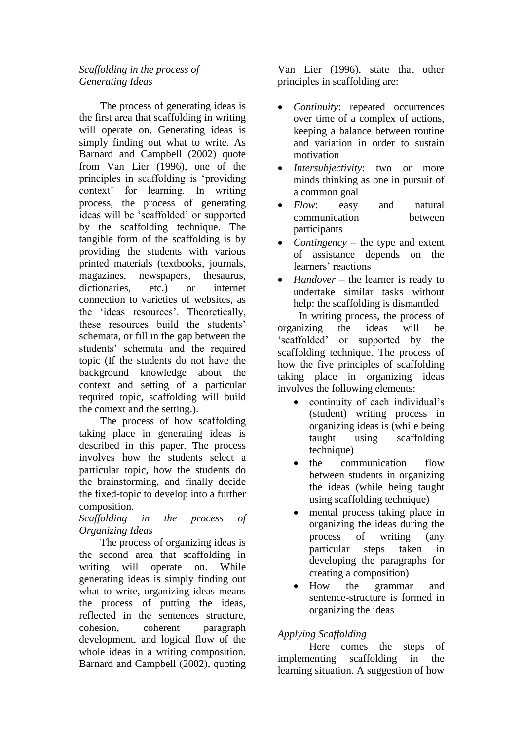## *Scaffolding in the process of Generating Ideas*

The process of generating ideas is the first area that scaffolding in writing will operate on. Generating ideas is simply finding out what to write. As Barnard and Campbell (2002) quote from Van Lier (1996), one of the principles in scaffolding is 'providing context' for learning. In writing process, the process of generating ideas will be 'scaffolded' or supported by the scaffolding technique. The tangible form of the scaffolding is by providing the students with various printed materials (textbooks, journals, magazines, newspapers, thesaurus, dictionaries, etc.) or internet connection to varieties of websites, as the 'ideas resources'. Theoretically, these resources build the students' schemata, or fill in the gap between the students' schemata and the required topic (If the students do not have the background knowledge about the context and setting of a particular required topic, scaffolding will build the context and the setting.).

 The process of how scaffolding taking place in generating ideas is described in this paper. The process involves how the students select a particular topic, how the students do the brainstorming, and finally decide the fixed-topic to develop into a further composition.

*Scaffolding in the process of Organizing Ideas*

 The process of organizing ideas is the second area that scaffolding in writing will operate on. While generating ideas is simply finding out what to write, organizing ideas means the process of putting the ideas, reflected in the sentences structure, cohesion, coherent paragraph development, and logical flow of the whole ideas in a writing composition. Barnard and Campbell (2002), quoting Van Lier (1996), state that other principles in scaffolding are:

- *Continuity*: repeated occurrences over time of a complex of actions, keeping a balance between routine and variation in order to sustain motivation
- *Intersubjectivity*: two or more minds thinking as one in pursuit of a common goal
- *Flow*: easy and natural communication between participants
- *Contingency* the type and extent of assistance depends on the learners' reactions
- *Handover* the learner is ready to undertake similar tasks without help: the scaffolding is dismantled

 In writing process, the process of organizing the ideas will be 'scaffolded' or supported by the scaffolding technique. The process of how the five principles of scaffolding taking place in organizing ideas involves the following elements:

- continuity of each individual's (student) writing process in organizing ideas is (while being taught using scaffolding technique)
- the communication flow between students in organizing the ideas (while being taught using scaffolding technique)
- mental process taking place in organizing the ideas during the process of writing (any particular steps taken in developing the paragraphs for creating a composition)
- How the grammar and sentence-structure is formed in organizing the ideas

# *Applying Scaffolding*

Here comes the steps of implementing scaffolding in the learning situation. A suggestion of how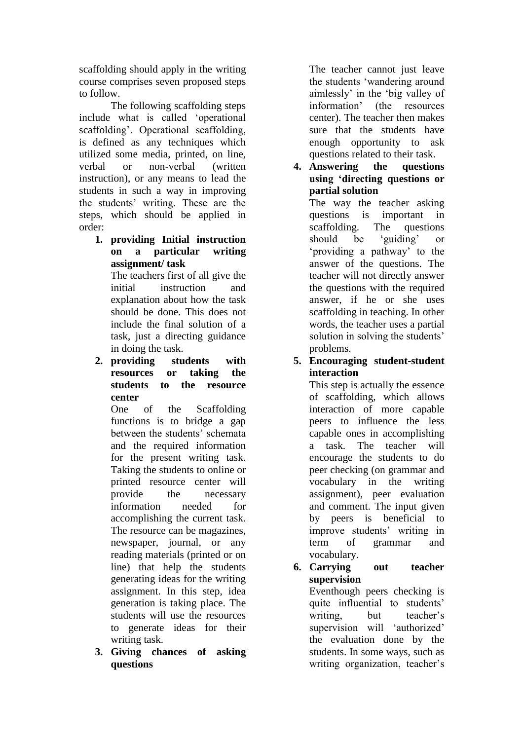scaffolding should apply in the writing course comprises seven proposed steps to follow.

The following scaffolding steps include what is called 'operational scaffolding'. Operational scaffolding, is defined as any techniques which utilized some media, printed, on line, verbal or non-verbal (written instruction), or any means to lead the students in such a way in improving the students' writing. These are the steps, which should be applied in order:

**1. providing Initial instruction on a particular writing assignment/ task**

The teachers first of all give the initial instruction and explanation about how the task should be done. This does not include the final solution of a task, just a directing guidance in doing the task.

**2. providing students with resources or taking the students to the resource center**

One of the Scaffolding functions is to bridge a gap between the students' schemata and the required information for the present writing task. Taking the students to online or printed resource center will provide the necessary information needed for accomplishing the current task. The resource can be magazines, newspaper, journal, or any reading materials (printed or on line) that help the students generating ideas for the writing assignment. In this step, idea generation is taking place. The students will use the resources to generate ideas for their writing task.

**3. Giving chances of asking questions**

The teacher cannot just leave the students 'wandering around aimlessly' in the 'big valley of information' (the resources center). The teacher then makes sure that the students have enough opportunity to ask questions related to their task.

**4. Answering the questions using 'directing questions or partial solution**

The way the teacher asking questions is important in scaffolding. The questions should be 'guiding' or 'providing a pathway' to the answer of the questions. The teacher will not directly answer the questions with the required answer, if he or she uses scaffolding in teaching. In other words, the teacher uses a partial solution in solving the students' problems.

## **5. Encouraging student-student interaction**

This step is actually the essence of scaffolding, which allows interaction of more capable peers to influence the less capable ones in accomplishing a task. The teacher will encourage the students to do peer checking (on grammar and vocabulary in the writing assignment), peer evaluation and comment. The input given by peers is beneficial to improve students' writing in term of grammar and vocabulary.

**6. Carrying out teacher supervision** Eventhough peers checking is

quite influential to students' writing, but teacher's supervision will 'authorized' the evaluation done by the students. In some ways, such as writing organization, teacher's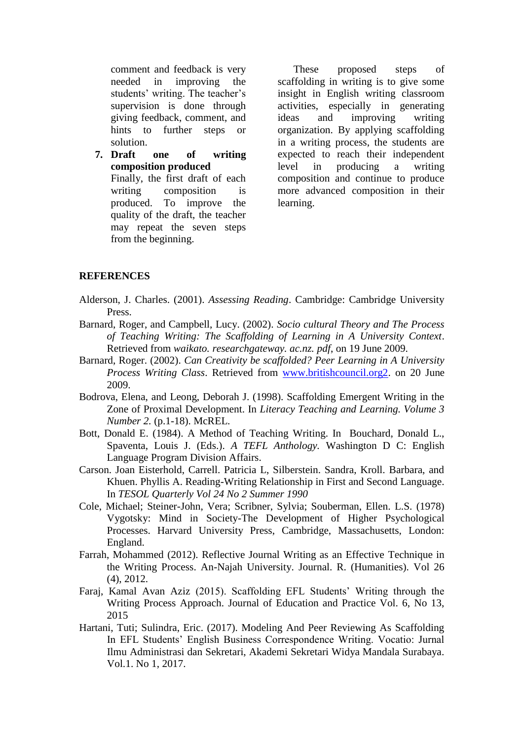comment and feedback is very needed in improving the students' writing. The teacher's supervision is done through giving feedback, comment, and hints to further steps or solution.

**7. Draft one of writing composition produced** Finally, the first draft of each writing composition is produced. To improve the quality of the draft, the teacher may repeat the seven steps from the beginning.

These proposed steps of scaffolding in writing is to give some insight in English writing classroom activities, especially in generating ideas and improving writing organization. By applying scaffolding in a writing process, the students are expected to reach their independent level in producing a writing composition and continue to produce more advanced composition in their learning.

## **REFERENCES**

- Alderson, J. Charles. (2001). *Assessing Reading*. Cambridge: Cambridge University Press.
- Barnard, Roger, and Campbell, Lucy. (2002). *Socio cultural Theory and The Process of Teaching Writing: The Scaffolding of Learning in A University Context*. Retrieved from *waikato. researchgateway. ac.nz. pdf*, on 19 June 2009.
- Barnard, Roger. (2002). *Can Creativity be scaffolded? Peer Learning in A University Process Writing Class*. Retrieved from [www.britishcouncil.org2.](http://www.britishcouncil.org2/) on 20 June 2009.
- Bodrova, Elena, and Leong, Deborah J. (1998). Scaffolding Emergent Writing in the Zone of Proximal Development. In *Literacy Teaching and Learning. Volume 3 Number 2.* (p.1-18). McREL.
- Bott, Donald E. (1984). A Method of Teaching Writing. In Bouchard, Donald L., Spaventa, Louis J. (Eds.). *A TEFL Anthology.* Washington D C: English Language Program Division Affairs.
- Carson. Joan Eisterhold, Carrell. Patricia L, Silberstein. Sandra, Kroll. Barbara, and Khuen. Phyllis A. Reading-Writing Relationship in First and Second Language. In *TESOL Quarterly Vol 24 No 2 Summer 1990*
- Cole, Michael; Steiner-John, Vera; Scribner, Sylvia; Souberman, Ellen. L.S. (1978) Vygotsky: Mind in Society-The Development of Higher Psychological Processes. Harvard University Press, Cambridge, Massachusetts, London: England.
- Farrah, Mohammed (2012). Reflective Journal Writing as an Effective Technique in the Writing Process. An-Najah University. Journal. R. (Humanities). Vol 26 (4), 2012.
- Faraj, Kamal Avan Aziz (2015). Scaffolding EFL Students' Writing through the Writing Process Approach. Journal of Education and Practice Vol. 6, No 13, 2015
- Hartani, Tuti; Sulindra, Eric. (2017). Modeling And Peer Reviewing As Scaffolding In EFL Students' English Business Correspondence Writing. Vocatio: Jurnal Ilmu Administrasi dan Sekretari, Akademi Sekretari Widya Mandala Surabaya. Vol.1. No 1, 2017.